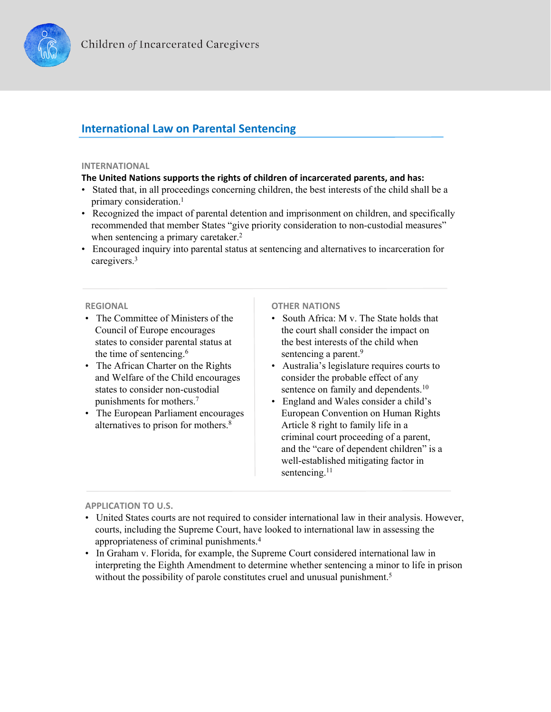

# **International Law on Parental Sentencing**

### **INTERNATIONAL**

# **The United Nations supports the rights of children of incarcerated parents, and has:**

- Stated that, in all proceedings concerning children, the best interests of the child shall be a primary consideration.<sup>1</sup>
- Recognized the impact of parental detention and imprisonment on children, and specifically recommended that member States "give priority consideration to non-custodial measures" when sentencing a primary caretaker.<sup>2</sup>
- Encouraged inquiry into parental status at sentencing and alternatives to incarceration for caregivers.3

### **REGIONAL**

- The Committee of Ministers of the Council of Europe encourages states to consider parental status at the time of sentencing.<sup>6</sup>
- The African Charter on the Rights and Welfare of the Child encourages states to consider non-custodial punishments for mothers.7
- The European Parliament encourages alternatives to prison for mothers.8

# **OTHER NATIONS**

- South Africa: M v. The State holds that the court shall consider the impact on the best interests of the child when sentencing a parent.<sup>9</sup>
- Australia's legislature requires courts to consider the probable effect of any sentence on family and dependents.<sup>10</sup>
- England and Wales consider a child's European Convention on Human Rights Article 8 right to family life in a criminal court proceeding of a parent, and the "care of dependent children" is a well-established mitigating factor in sentencing.<sup>11</sup>

# **APPLICATION TO U.S.**

- United States courts are not required to consider international law in their analysis. However, courts, including the Supreme Court, have looked to international law in assessing the appropriateness of criminal punishments.4
- In Graham v. Florida, for example, the Supreme Court considered international law in interpreting the Eighth Amendment to determine whether sentencing a minor to life in prison without the possibility of parole constitutes cruel and unusual punishment.<sup>5</sup>